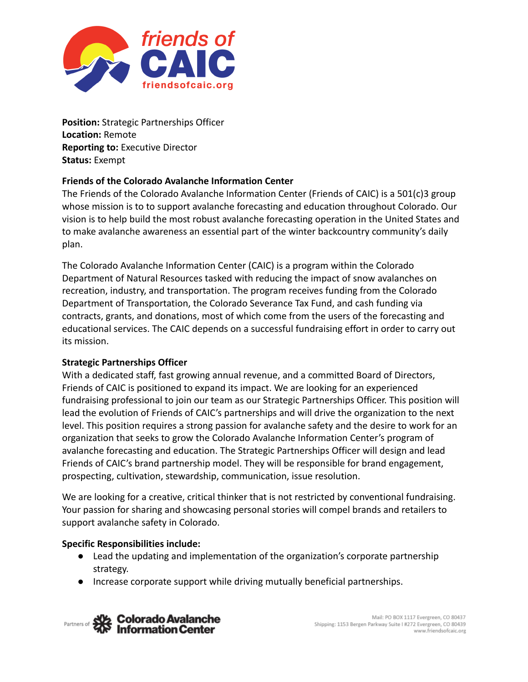

**Position:** Strategic Partnerships Officer **Location:** Remote **Reporting to:** Executive Director **Status:** Exempt

## **Friends of the Colorado Avalanche Information Center**

The Friends of the Colorado Avalanche Information Center (Friends of CAIC) is a 501(c)3 group whose mission is to to support avalanche forecasting and education throughout Colorado. Our vision is to help build the most robust avalanche forecasting operation in the United States and to make avalanche awareness an essential part of the winter backcountry community's daily plan.

The Colorado Avalanche Information Center (CAIC) is a program within the Colorado Department of Natural Resources tasked with reducing the impact of snow avalanches on recreation, industry, and transportation. The program receives funding from the Colorado Department of Transportation, the Colorado Severance Tax Fund, and cash funding via contracts, grants, and donations, most of which come from the users of the forecasting and educational services. The CAIC depends on a successful fundraising effort in order to carry out its mission.

## **Strategic Partnerships Officer**

With a dedicated staff, fast growing annual revenue, and a committed Board of Directors, Friends of CAIC is positioned to expand its impact. We are looking for an experienced fundraising professional to join our team as our Strategic Partnerships Officer. This position will lead the evolution of Friends of CAIC's partnerships and will drive the organization to the next level. This position requires a strong passion for avalanche safety and the desire to work for an organization that seeks to grow the Colorado Avalanche Information Center's program of avalanche forecasting and education. The Strategic Partnerships Officer will design and lead Friends of CAIC's brand partnership model. They will be responsible for brand engagement, prospecting, cultivation, stewardship, communication, issue resolution.

We are looking for a creative, critical thinker that is not restricted by conventional fundraising. Your passion for sharing and showcasing personal stories will compel brands and retailers to support avalanche safety in Colorado.

#### **Specific Responsibilities include:**

- Lead the updating and implementation of the organization's corporate partnership strategy.
- Increase corporate support while driving mutually beneficial partnerships.

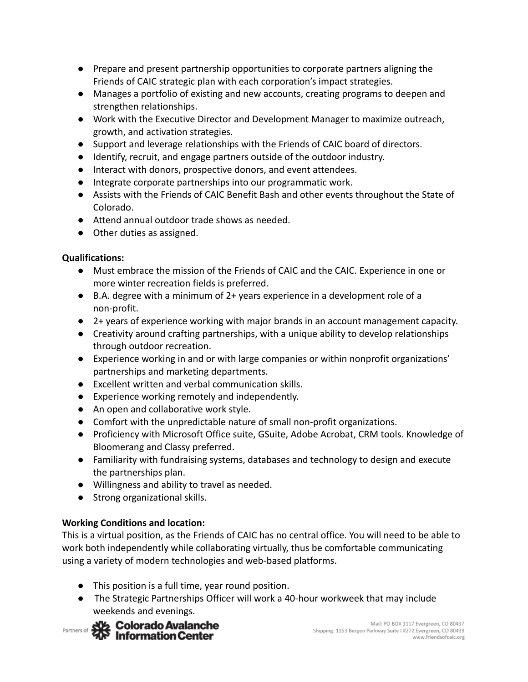- Prepare and present partnership opportunities to corporate partners aligning the Friends of CAIC strategic plan with each corporation's impact strategies.
- Manages a portfolio of existing and new accounts, creating programs to deepen and strengthen relationships.
- Work with the Executive Director and Development Manager to maximize outreach, growth, and activation strategies.
- Support and leverage relationships with the Friends of CAIC board of directors.
- Identify, recruit, and engage partners outside of the outdoor industry.
- Interact with donors, prospective donors, and event attendees.
- Integrate corporate partnerships into our programmatic work.
- Assists with the Friends of CAIC Benefit Bash and other events throughout the State of Colorado.
- Attend annual outdoor trade shows as needed.
- Other duties as assigned.

## **Qualifications:**

- Must embrace the mission of the Friends of CAIC and the CAIC. Experience in one or more winter recreation fields is preferred.
- B.A. degree with a minimum of 2+ years experience in a development role of a non-profit.
- 2+ years of experience working with major brands in an account management capacity.
- Creativity around crafting partnerships, with a unique ability to develop relationships through outdoor recreation.
- Experience working in and or with large companies or within nonprofit organizations' partnerships and marketing departments.
- Excellent written and verbal communication skills.
- Experience working remotely and independently.
- An open and collaborative work style.
- Comfort with the unpredictable nature of small non-profit organizations.
- Proficiency with Microsoft Office suite, GSuite, Adobe Acrobat, CRM tools. Knowledge of Bloomerang and Classy preferred.
- Familiarity with fundraising systems, databases and technology to design and execute the partnerships plan.
- Willingness and ability to travel as needed.
- Strong organizational skills.

# **Working Conditions and location:**

This is a virtual position, as the Friends of CAIC has no central office. You will need to be able to work both independently while collaborating virtually, thus be comfortable communicating using a variety of modern technologies and web-based platforms.

- This position is a full time, year round position.
- The Strategic Partnerships Officer will work a 40-hour workweek that may include weekends and evenings.